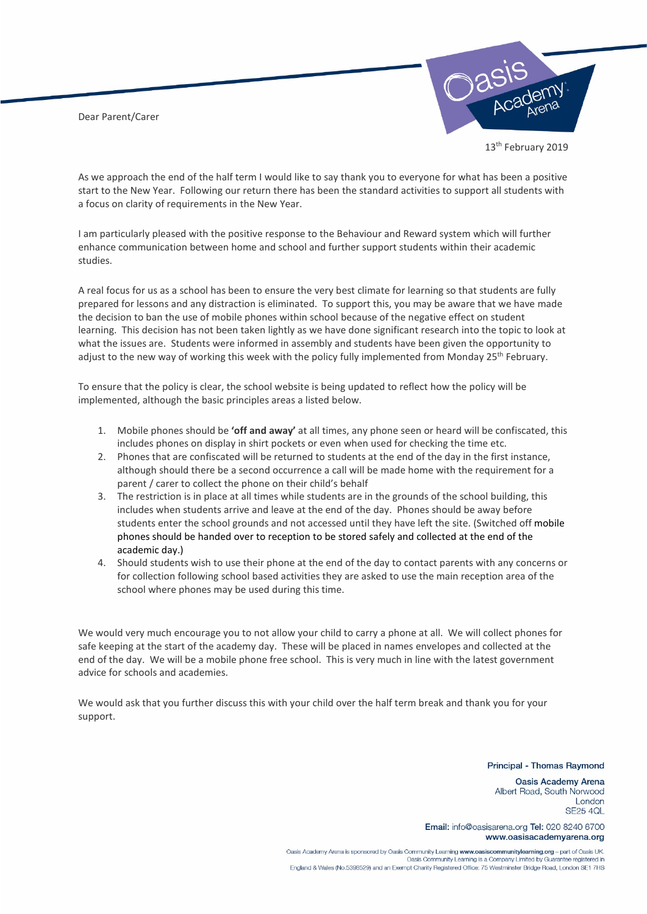Dear Parent/Carer



13<sup>th</sup> February 2019

As we approach the end of the half term I would like to say thank you to everyone for what has been a positive start to the New Year. Following our return there has been the standard activities to support all students with a focus on clarity of requirements in the New Year.

I am particularly pleased with the positive response to the Behaviour and Reward system which will further enhance communication between home and school and further support students within their academic studies.

A real focus for us as a school has been to ensure the very best climate for learning so that students are fully prepared for lessons and any distraction is eliminated. To support this, you may be aware that we have made the decision to ban the use of mobile phones within school because of the negative effect on student learning. This decision has not been taken lightly as we have done significant research into the topic to look at what the issues are. Students were informed in assembly and students have been given the opportunity to adjust to the new way of working this week with the policy fully implemented from Monday 25<sup>th</sup> February.

To ensure that the policy is clear, the school website is being updated to reflect how the policy will be implemented, although the basic principles areas a listed below.

- 1. Mobile phones should be **'off and away'** at all times, any phone seen or heard will be confiscated, this includes phones on display in shirt pockets or even when used for checking the time etc.
- 2. Phones that are confiscated will be returned to students at the end of the day in the first instance, although should there be a second occurrence a call will be made home with the requirement for a parent / carer to collect the phone on their child's behalf
- 3. The restriction is in place at all times while students are in the grounds of the school building, this includes when students arrive and leave at the end of the day. Phones should be away before students enter the school grounds and not accessed until they have left the site. (Switched off mobile phones should be handed over to reception to be stored safely and collected at the end of the academic day.)
- 4. Should students wish to use their phone at the end of the day to contact parents with any concerns or for collection following school based activities they are asked to use the main reception area of the school where phones may be used during this time.

We would very much encourage you to not allow your child to carry a phone at all. We will collect phones for safe keeping at the start of the academy day. These will be placed in names envelopes and collected at the end of the day. We will be a mobile phone free school. This is very much in line with the latest government advice for schools and academies.

We would ask that you further discuss this with your child over the half term break and thank you for your support.

## Principal - Thomas Raymond

Oasis Academy Arena Albert Road, South Norwood London **SE25 4QL** 

Email: info@oasisarena.org Tel: 020 8240 6700 www.oasisacademyarena.org

Oasis Academy Arena is sponsored by Oasis Community Learning www.oasiscommunitylearning.org - part of Oasis UK. Oasis Community Learning is a Company Limited by Guarantee registered in England & Wales (No.5398529) and an Exempt Charity Registered Office: 75 Westminster Bridge Road, London SE1 7HS